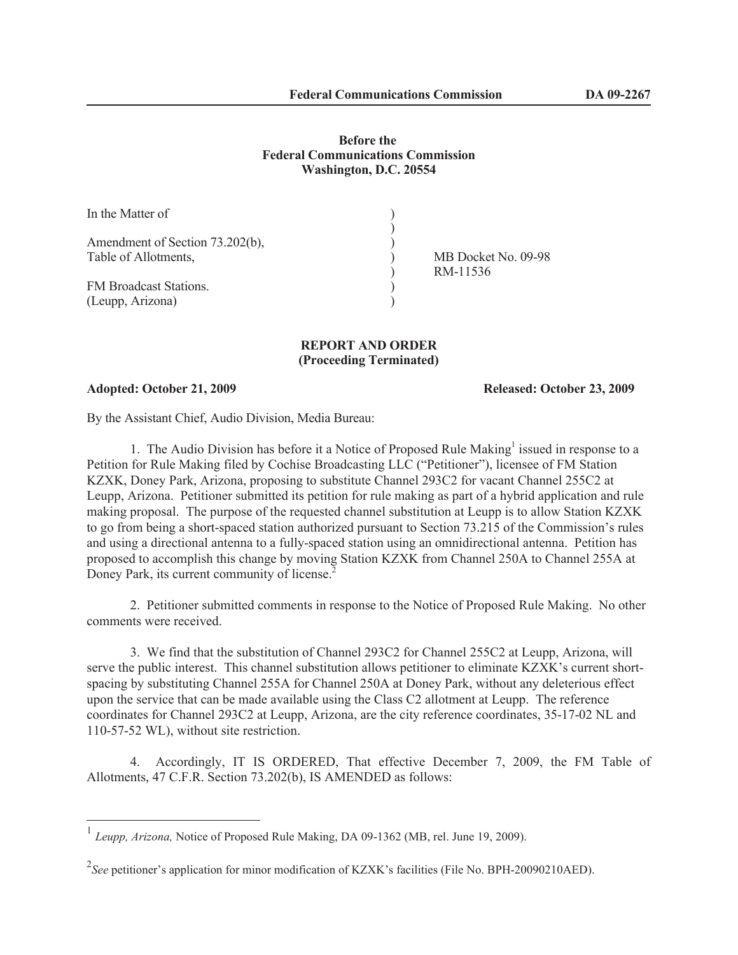## **Before the Federal Communications Commission Washington, D.C. 20554**

| In the Matter of                |                     |
|---------------------------------|---------------------|
|                                 |                     |
| Amendment of Section 73.202(b), |                     |
| Table of Allotments,            | MB Docket No. 09-98 |
|                                 | RM-11536            |
| FM Broadcast Stations.          |                     |
| (Leupp, Arizona)                |                     |

## **REPORT AND ORDER (Proceeding Terminated)**

**Adopted: October 21, 2009 Released: October 23, 2009**

By the Assistant Chief, Audio Division, Media Bureau:

1. The Audio Division has before it a Notice of Proposed Rule Making<sup>1</sup> issued in response to a Petition for Rule Making filed by Cochise Broadcasting LLC ("Petitioner"), licensee of FM Station KZXK, Doney Park, Arizona, proposing to substitute Channel 293C2 for vacant Channel 255C2 at Leupp, Arizona. Petitioner submitted its petition for rule making as part of a hybrid application and rule making proposal. The purpose of the requested channel substitution at Leupp is to allow Station KZXK to go from being a short-spaced station authorized pursuant to Section 73.215 of the Commission's rules and using a directional antenna to a fully-spaced station using an omnidirectional antenna. Petition has proposed to accomplish this change by moving Station KZXK from Channel 250A to Channel 255A at Doney Park, its current community of license.<sup>2</sup>

2. Petitioner submitted comments in response to the Notice of Proposed Rule Making. No other comments were received.

3. We find that the substitution of Channel 293C2 for Channel 255C2 at Leupp, Arizona, will serve the public interest. This channel substitution allows petitioner to eliminate KZXK's current shortspacing by substituting Channel 255A for Channel 250A at Doney Park, without any deleterious effect upon the service that can be made available using the Class C2 allotment at Leupp. The reference coordinates for Channel 293C2 at Leupp, Arizona, are the city reference coordinates, 35-17-02 NL and 110-57-52 WL), without site restriction.

4. Accordingly, IT IS ORDERED, That effective December 7, 2009, the FM Table of Allotments, 47 C.F.R. Section 73.202(b), IS AMENDED as follows:

<sup>&</sup>lt;sup>1</sup> Leupp, Arizona, Notice of Proposed Rule Making, DA 09-1362 (MB, rel. June 19, 2009).

<sup>&</sup>lt;sup>2</sup>See petitioner's application for minor modification of KZXK's facilities (File No. BPH-20090210AED).